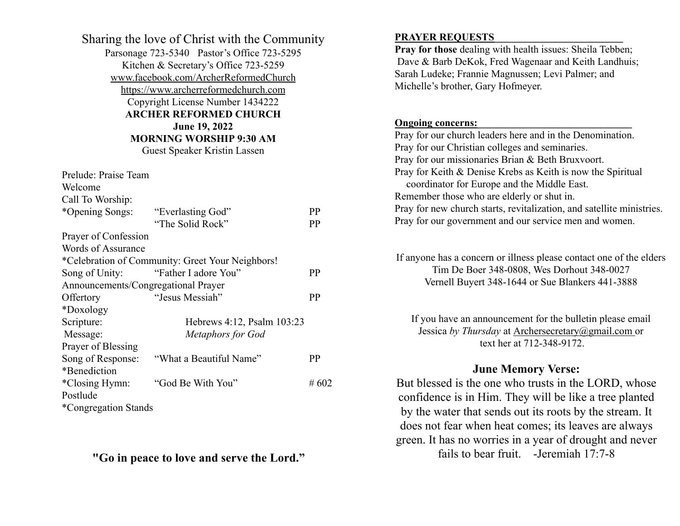Sharing the love of Christ with the Community Parsonage 723-5340 Pastor's Office 723-5295 Kitchen & Secretary's Office 723-5259 [www.facebook.com/ArcherReformedChurch](http://www.facebook.com/ArcherReformedChurch) [https://www.archerreformedchurch.com](https://www.archerreformedchurch.com/) Copyright License Number 1434222 **ARCHER REFORMED CHURCH June 19, 2022 MORNING WORSHIP 9:30 AM** Guest Speaker Kristin Lassen Prelude: Praise Team

| Welcome                                          |                            |           |  |
|--------------------------------------------------|----------------------------|-----------|--|
| Call To Worship:                                 |                            |           |  |
| *Opening Songs:                                  | "Everlasting God"          | PP        |  |
|                                                  | "The Solid Rock"           | PP        |  |
| Prayer of Confession                             |                            |           |  |
| Words of Assurance                               |                            |           |  |
| *Celebration of Community: Greet Your Neighbors! |                            |           |  |
| Song of Unity:                                   | "Father I adore You"       | <b>PP</b> |  |
| Announcements/Congregational Prayer              |                            |           |  |
| Offertory                                        | "Jesus Messiah"            | PP        |  |
| *Doxology                                        |                            |           |  |
| Scripture:                                       | Hebrews 4:12, Psalm 103:23 |           |  |
| Message:                                         | <b>Metaphors for God</b>   |           |  |
| Prayer of Blessing                               |                            |           |  |
| Song of Response:                                | "What a Beautiful Name"    | PP        |  |
| *Benediction                                     |                            |           |  |
| *Closing Hymn:                                   | "God Be With You"          | #602      |  |
| Postlude                                         |                            |           |  |
| *Congregation Stands                             |                            |           |  |

**"Go in peace to love and serve the Lord."**

## **PRAYER REQUESTS\_\_\_\_\_\_\_\_\_\_\_\_\_\_\_\_\_\_\_\_\_\_\_\_\_**

**Pray for those** dealing with health issues: Sheila Tebben; Dave & Barb DeKok, Fred Wagenaar and Keith Landhuis; Sarah Ludeke; Frannie Magnussen; Levi Palmer; and Michelle's brother, Gary Hofmeyer. **Ongoing concerns:** Pray for our church leaders here and in the Denomination. Pray for our Christian colleges and seminaries. Pray for our missionaries Brian & Beth Bruxvoort. Pray for Keith & Denise Krebs as Keith is now the Spiritual coordinator for Europe and the Middle East. Remember those who are elderly or shut in. Pray for new church starts, revitalization, and satellite ministries. Pray for our government and our service men and women.

If anyone has a concern or illness please contact one of the elders Tim De Boer 348-0808, Wes Dorhout 348-0027 Vernell Buyert 348-1644 or Sue Blankers 441-3888

If you have an announcement for the bulletin please email Jessica *by Thursday* at [Archersecretary@gmail.com](mailto:Archersecretary@gmail.com) or text her at 712-348-9172.

# **June Memory Verse:**

But blessed is the one who trusts in the LORD, whose confidence is in Him. They will be like a tree planted by the water that sends out its roots by the stream. It does not fear when heat comes; its leaves are always green. It has no worries in a year of drought and never fails to bear fruit. -Jeremiah 17:7-8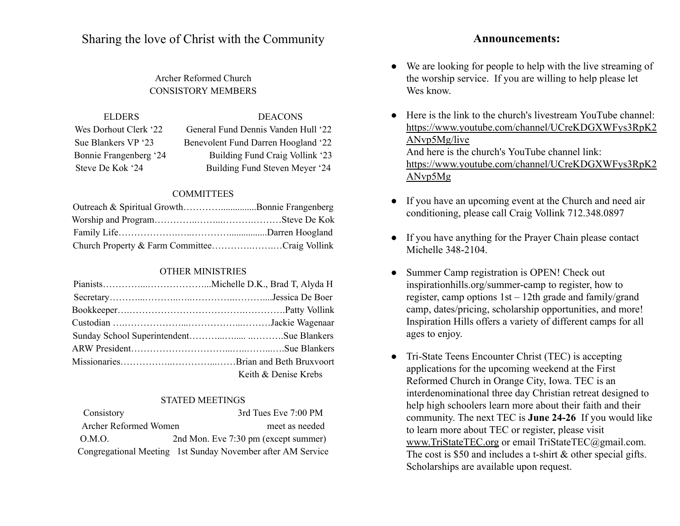Sharing the love of Christ with the Community

# Archer Reformed Church CONSISTORY MEMBERS

ELDERS DEACONS Wes Dorhout Clerk '22 General Fund Dennis Vanden Hull '22 Sue Blankers VP '23 Benevolent Fund Darren Hoogland '22 Bonnie Frangenberg '24 Building Fund Craig Vollink '23 Steve De Kok '24 Building Fund Steven Meyer '24

#### **COMMITTEES**

| Outreach & Spiritual GrowthBonnie Frangenberg |  |
|-----------------------------------------------|--|
|                                               |  |
|                                               |  |
| Church Property & Farm CommitteeCraig Vollink |  |

### OTHER MINISTRIES

| Keith & Denise Krebs |
|----------------------|

#### STATED MEETINGS

| Consistory            | 3rd Tues Eve 7:00 PM                                        |
|-----------------------|-------------------------------------------------------------|
| Archer Reformed Women | meet as needed                                              |
| O.M.O.                | 2nd Mon. Eve 7:30 pm (except summer)                        |
|                       | Congregational Meeting 1st Sunday November after AM Service |

#### **Announcements:**

- We are looking for people to help with the live streaming of the worship service. If you are willing to help please let Wes know.
- Here is the link to the church's livestream YouTube channel: [https://www.youtube.com/channel/UCreKDGXWFys3RpK2](https://www.youtube.com/channel/UCreKDGXWFys3RpK2ANvp5Mg/live?fbclid=IwAR2T5nPeTmO3-J2ezH2UuC-dKpiDHSCE20UnRkBB9E74awVB78GDVWog1XE) [ANvp5Mg/live](https://www.youtube.com/channel/UCreKDGXWFys3RpK2ANvp5Mg/live?fbclid=IwAR2T5nPeTmO3-J2ezH2UuC-dKpiDHSCE20UnRkBB9E74awVB78GDVWog1XE) And here is the church's YouTube channel link: [https://www.youtube.com/channel/UCreKDGXWFys3RpK2](https://www.youtube.com/channel/UCreKDGXWFys3RpK2ANvp5Mg/live?fbclid=IwAR0HL2QFtJ91ZYY4oTW9wAIgsckjIkh_ViZ5NYP6MrjFlRddP0A4vY0spe0) [ANvp5Mg](https://www.youtube.com/channel/UCreKDGXWFys3RpK2ANvp5Mg/live?fbclid=IwAR0HL2QFtJ91ZYY4oTW9wAIgsckjIkh_ViZ5NYP6MrjFlRddP0A4vY0spe0)
- If you have an upcoming event at the Church and need air conditioning, please call Craig Vollink 712.348.0897
- If you have anything for the Prayer Chain please contact Michelle 348-2104.
- Summer Camp registration is OPEN! Check out [inspirationhills.org/summer-camp](https://www.inspirationhills.org/summer-camp/) to register, how to register, camp options 1st – 12th grade and family/grand camp, dates/pricing, scholarship opportunities, and more! Inspiration Hills offers a variety of different camps for all ages to enjoy.
- Tri-State Teens Encounter Christ (TEC) is accepting applications for the upcoming weekend at the First Reformed Church in Orange City, Iowa. TEC is an interdenominational three day Christian retreat designed to help high schoolers learn more about their faith and their community. The next TEC is **June 24-26** If you would like to learn more about TEC or register, please visit [www.TriStateTEC.org](http://www.tristatetec.org/) or email TriStateTEC@gmail.com. The cost is \$50 and includes a t-shirt & other special gifts. Scholarships are available upon request.